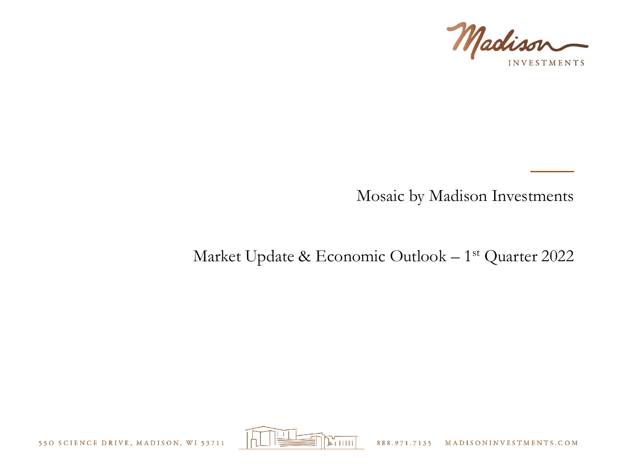

## Mosaic by Madison Investments

# Market Update & Economic Outlook – 1 st Quarter 2022

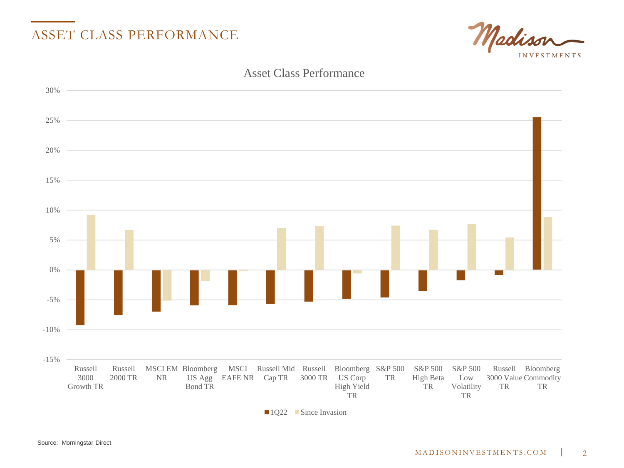

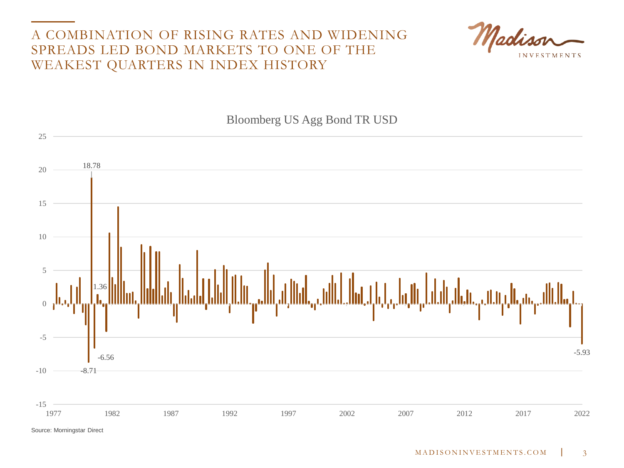#### A COMBINATION OF RISING RATES AND WIDENING SPREADS LED BOND MARKETS TO ONE OF THE WEAKEST QUARTERS IN INDEX HISTORY





#### Bloomberg US Agg Bond TR USD

Source: Morningstar Direct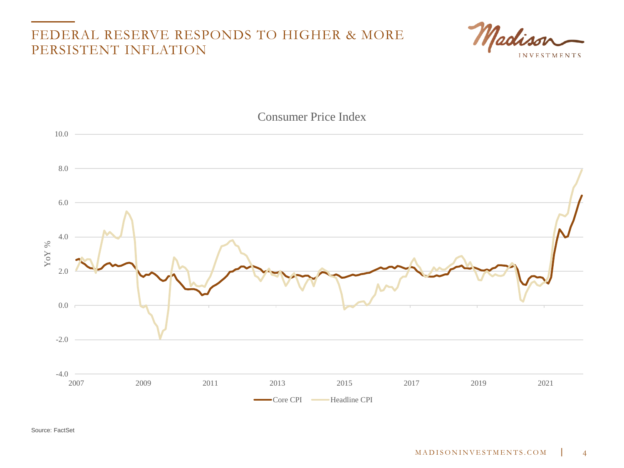#### FEDERAL RESERVE RESPONDS TO HIGHER & MORE PERSISTENT INFLATION





Source: FactSet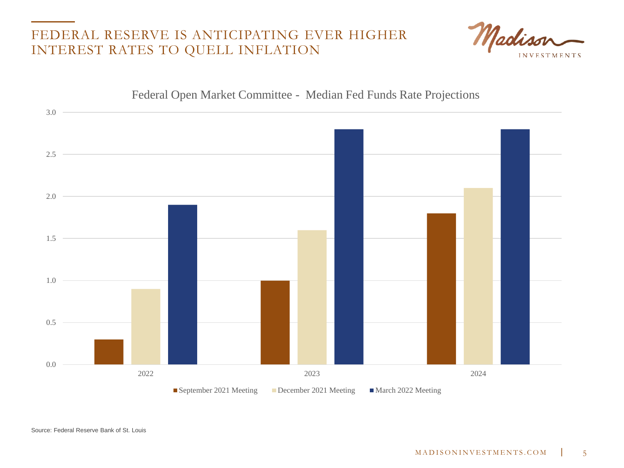#### FEDERAL RESERVE IS ANTICIPATING EVER HIGHER INTEREST RATES TO QUELL INFLATION



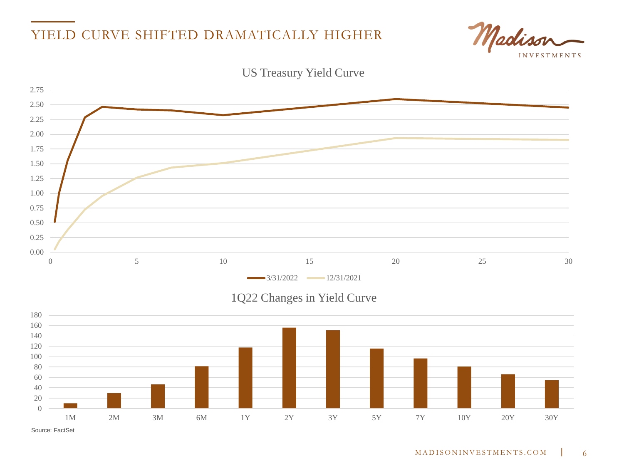### YIELD CURVE SHIFTED DRAMATICALLY HIGHER





US Treasury Yield Curve

Source: FactSet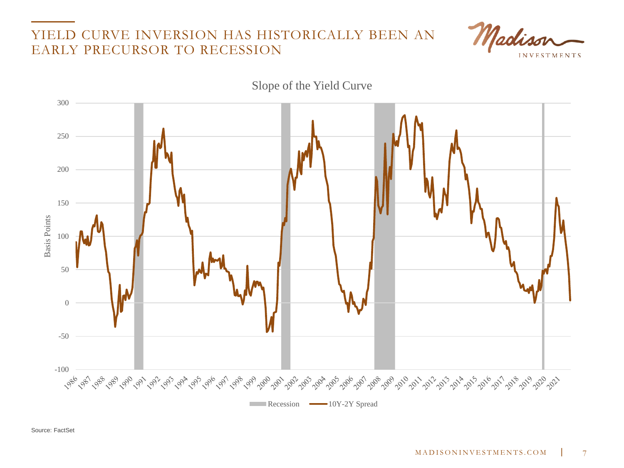#### YIELD CURVE INVERSION HAS HISTORICALLY BEEN AN EARLY PRECURSOR TO RECESSION



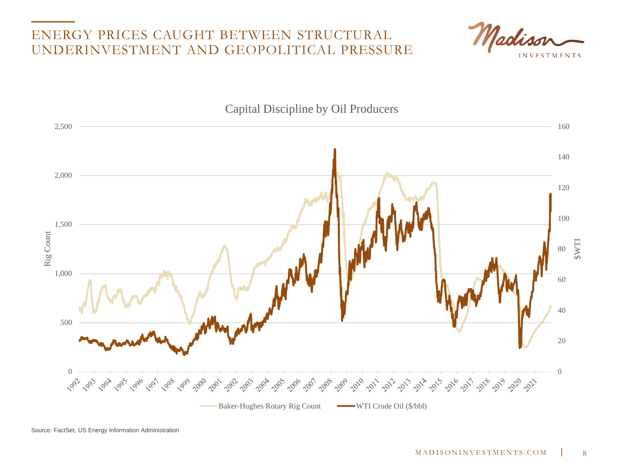#### ENERGY PRICES CAUGHT BETWEEN STRUCTURAL UNDERINVESTMENT AND GEOPOLITICAL PRESSURE





Source: FactSet, US Energy Information Administration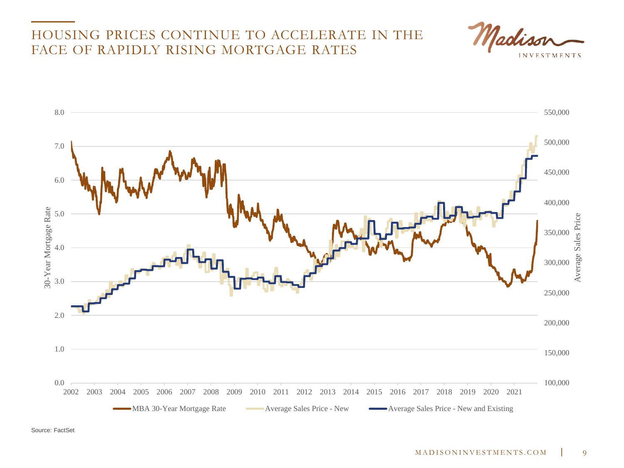#### HOUSING PRICES CONTINUE TO ACCELERATE IN THE FACE OF RAPIDLY RISING MORTGAGE RATES



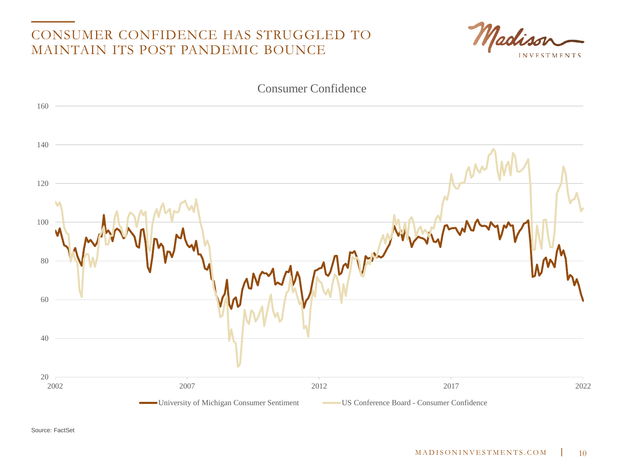#### CONSUMER CONFIDENCE HAS STRUGGLED TO MAINTAIN ITS POST PANDEMIC BOUNCE



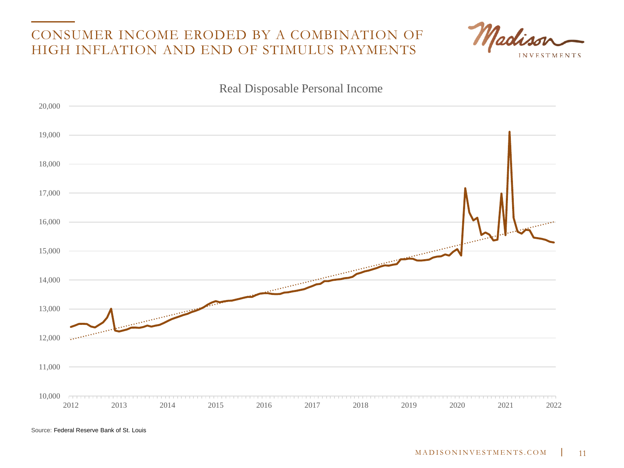#### CONSUMER INCOME ERODED BY A COMBINATION OF HIGH INFLATION AND END OF STIMULUS PAYMENTS



Real Disposable Personal Income $20,000 -$  19,000  $18,000 17,000 -$  16,000 **Sales Commence**  $15,000 -$ <u>and the community of the community of the community of the community of the community of the community of the community of the community of the community of the community of the community of the community of the community</u> 14,000 **CONTRACTOR**  13,000 **Communication**  12,000 11,000 10,000 \_\_\_\_\_\_\_\_\_\_\_\_\_\_\_\_\_\_\_\_\_\_\_\_\_\_\_\_\_\_ 2012 2013 2014 2015 2016 2017 2018 2019 2020 2021 2022

Source: Federal Reserve Bank of St. Louis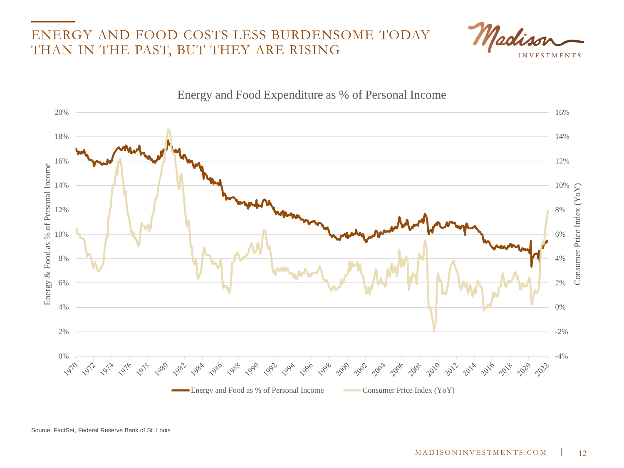#### ENERGY AND FOOD COSTS LESS BURDENSOME TODAY THAN IN THE PAST, BUT THEY ARE RISING



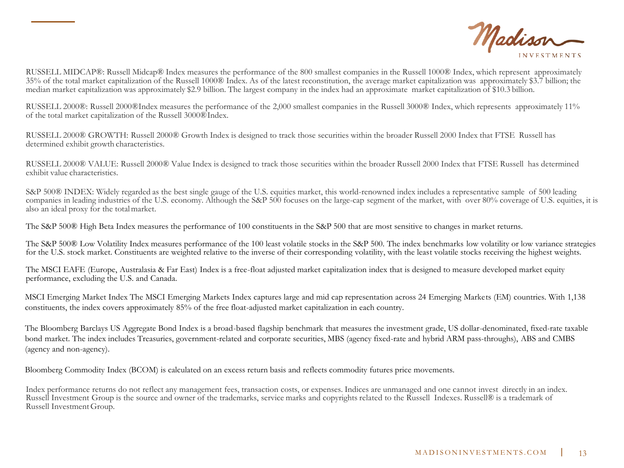

RUSSELL MIDCAP®: Russell Midcap® Index measures the performance of the 800 smallest companies in the Russell 1000® Index, which represent approximately 35% of the total market capitalization of the Russell 1000® Index. As of the latest reconstitution, the average market capitalization was approximately \$3.7 billion; the median market capitalization was approximately \$2.9 billion. The largest company in the index had an approximate market capitalization of \$10.3 billion.

RUSSELL 2000®: Russell 2000®Index measures the performance of the 2,000 smallest companies in the Russell 3000® Index, which represents approximately 11% of the total market capitalization of the Russell 3000®Index.

RUSSELL 2000® GROWTH: Russell 2000® Growth Index is designed to track those securities within the broader Russell 2000 Index that FTSE Russell has determined exhibit growth characteristics.

RUSSELL 2000® VALUE: Russell 2000® Value Index is designed to track those securities within the broader Russell 2000 Index that FTSE Russell has determined exhibit value characteristics.

S&P 500® INDEX: Widely regarded as the best single gauge of the U.S. equities market, this world-renowned index includes a representative sample of 500 leading companies in leading industries of the U.S. economy. Although the S&P 500 focuses on the large-cap segment of the market, with over 80% coverage of U.S. equities, it is also an ideal proxy for the totalmarket.

The S&P 500® High Beta Index measures the performance of 100 constituents in the S&P 500 that are most sensitive to changes in market returns.

The S&P 500® Low Volatility Index measures performance of the 100 least volatile stocks in the S&P 500. The index benchmarks low volatility or low variance strategies for the U.S. stock market. Constituents are weighted relative to the inverse of their corresponding volatility, with the least volatile stocks receiving the highest weights.

The MSCI EAFE (Europe, Australasia & Far East) Index is a free-float adjusted market capitalization index that is designed to measure developed market equity performance, excluding the U.S. and Canada.

MSCI Emerging Market Index The MSCI Emerging Markets Index captures large and mid cap representation across 24 Emerging Markets (EM) countries. With 1,138 constituents, the index covers approximately 85% of the free float-adjusted market capitalization in each country.

The Bloomberg Barclays US Aggregate Bond Index is a broad-based flagship benchmark that measures the investment grade, US dollar-denominated, fixed-rate taxable bond market. The index includes Treasuries, government-related and corporate securities, MBS (agency fixed-rate and hybrid ARM pass-throughs), ABS and CMBS (agency and non-agency).

Bloomberg Commodity Index (BCOM) is calculated on an excess return basis and reflects commodity futures price movements.

Index performance returns do not reflect any management fees, transaction costs, or expenses. Indices are unmanaged and one cannot invest directly in an index. Russell Investment Group is the source and owner of the trademarks, service marks and copyrights related to the Russell Indexes. Russell® is a trademark of Russell InvestmentGroup.